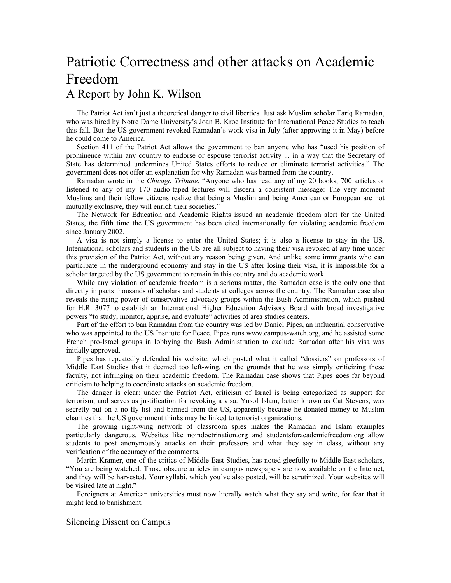## Patriotic Correctness and other attacks on Academic Freedom A Report by John K. Wilson

The Patriot Act isn't just a theoretical danger to civil liberties. Just ask Muslim scholar Tariq Ramadan, who was hired by Notre Dame University's Joan B. Kroc Institute for International Peace Studies to teach this fall. But the US government revoked Ramadan's work visa in July (after approving it in May) before he could come to America.

Section 411 of the Patriot Act allows the government to ban anyone who has "used his position of prominence within any country to endorse or espouse terrorist activity ... in a way that the Secretary of State has determined undermines United States efforts to reduce or eliminate terrorist activities." The government does not offer an explanation for why Ramadan was banned from the country.

Ramadan wrote in the *Chicago Tribune*, "Anyone who has read any of my 20 books, 700 articles or listened to any of my 170 audio-taped lectures will discern a consistent message: The very moment Muslims and their fellow citizens realize that being a Muslim and being American or European are not mutually exclusive, they will enrich their societies."

The Network for Education and Academic Rights issued an academic freedom alert for the United States, the fifth time the US government has been cited internationally for violating academic freedom since January 2002.

A visa is not simply a license to enter the United States; it is also a license to stay in the US. International scholars and students in the US are all subject to having their visa revoked at any time under this provision of the Patriot Act, without any reason being given. And unlike some immigrants who can participate in the underground economy and stay in the US after losing their visa, it is impossible for a scholar targeted by the US government to remain in this country and do academic work.

While any violation of academic freedom is a serious matter, the Ramadan case is the only one that directly impacts thousands of scholars and students at colleges across the country. The Ramadan case also reveals the rising power of conservative advocacy groups within the Bush Administration, which pushed for H.R. 3077 to establish an International Higher Education Advisory Board with broad investigative powers "to study, monitor, apprise, and evaluate" activities of area studies centers.

Part of the effort to ban Ramadan from the country was led by Daniel Pipes, an influential conservative who was appointed to the US Institute for Peace. Pipes runs www.campus-watch.org, and he assisted some French pro-Israel groups in lobbying the Bush Administration to exclude Ramadan after his visa was initially approved.

Pipes has repeatedly defended his website, which posted what it called "dossiers" on professors of Middle East Studies that it deemed too left-wing, on the grounds that he was simply criticizing these faculty, not infringing on their academic freedom. The Ramadan case shows that Pipes goes far beyond criticism to helping to coordinate attacks on academic freedom.

The danger is clear: under the Patriot Act, criticism of Israel is being categorized as support for terrorism, and serves as justification for revoking a visa. Yusof Islam, better known as Cat Stevens, was secretly put on a no-fly list and banned from the US, apparently because he donated money to Muslim charities that the US government thinks may be linked to terrorist organizations.

The growing right-wing network of classroom spies makes the Ramadan and Islam examples particularly dangerous. Websites like noindoctrination.org and studentsforacademicfreedom.org allow students to post anonymously attacks on their professors and what they say in class, without any verification of the accuracy of the comments.

Martin Kramer, one of the critics of Middle East Studies, has noted gleefully to Middle East scholars, "You are being watched. Those obscure articles in campus newspapers are now available on the Internet, and they will be harvested. Your syllabi, which you've also posted, will be scrutinized. Your websites will be visited late at night."

Foreigners at American universities must now literally watch what they say and write, for fear that it might lead to banishment.

## Silencing Dissent on Campus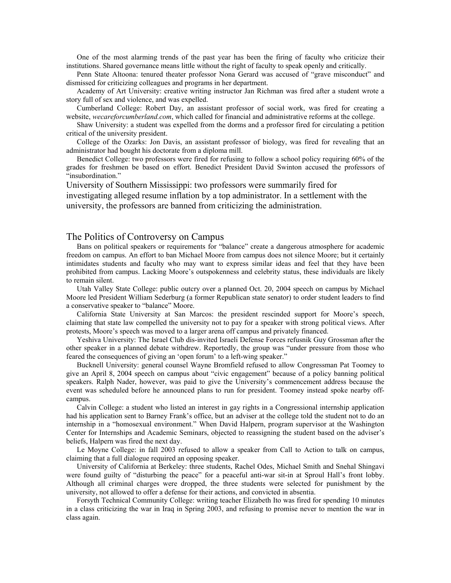One of the most alarming trends of the past year has been the firing of faculty who criticize their institutions. Shared governance means little without the right of faculty to speak openly and critically.

Penn State Altoona: tenured theater professor Nona Gerard was accused of "grave misconduct" and dismissed for criticizing colleagues and programs in her department.

Academy of Art University: creative writing instructor Jan Richman was fired after a student wrote a story full of sex and violence, and was expelled.

Cumberland College: Robert Day, an assistant professor of social work, was fired for creating a website, *wecareforcumberland.com*, which called for financial and administrative reforms at the college.

Shaw University: a student was expelled from the dorms and a professor fired for circulating a petition critical of the university president.

College of the Ozarks: Jon Davis, an assistant professor of biology, was fired for revealing that an administrator had bought his doctorate from a diploma mill.

Benedict College: two professors were fired for refusing to follow a school policy requiring 60% of the grades for freshmen be based on effort. Benedict President David Swinton accused the professors of "insubordination."

University of Southern Mississippi: two professors were summarily fired for investigating alleged resume inflation by a top administrator. In a settlement with the university, the professors are banned from criticizing the administration.

## The Politics of Controversy on Campus

Bans on political speakers or requirements for "balance" create a dangerous atmosphere for academic freedom on campus. An effort to ban Michael Moore from campus does not silence Moore; but it certainly intimidates students and faculty who may want to express similar ideas and feel that they have been prohibited from campus. Lacking Moore's outspokenness and celebrity status, these individuals are likely to remain silent.

Utah Valley State College: public outcry over a planned Oct. 20, 2004 speech on campus by Michael Moore led President William Sederburg (a former Republican state senator) to order student leaders to find a conservative speaker to "balance" Moore.

California State University at San Marcos: the president rescinded support for Moore's speech, claiming that state law compelled the university not to pay for a speaker with strong political views. After protests, Moore's speech was moved to a larger arena off campus and privately financed.

Yeshiva University: The Israel Club dis-invited Israeli Defense Forces refusnik Guy Grossman after the other speaker in a planned debate withdrew. Reportedly, the group was "under pressure from those who feared the consequences of giving an 'open forum' to a left-wing speaker."

Bucknell University: general counsel Wayne Bromfield refused to allow Congressman Pat Toomey to give an April 8, 2004 speech on campus about "civic engagement" because of a policy banning political speakers. Ralph Nader, however, was paid to give the University's commencement address because the event was scheduled before he announced plans to run for president. Toomey instead spoke nearby offcampus.

Calvin College: a student who listed an interest in gay rights in a Congressional internship application had his application sent to Barney Frank's office, but an adviser at the college told the student not to do an internship in a "homosexual environment." When David Halpern, program supervisor at the Washington Center for Internships and Academic Seminars, objected to reassigning the student based on the adviser's beliefs, Halpern was fired the next day.

Le Moyne College: in fall 2003 refused to allow a speaker from Call to Action to talk on campus, claiming that a full dialogue required an opposing speaker.

University of California at Berkeley: three students, Rachel Odes, Michael Smith and Snehal Shingavi were found guilty of "disturbing the peace" for a peaceful anti-war sit-in at Sproul Hall's front lobby. Although all criminal charges were dropped, the three students were selected for punishment by the university, not allowed to offer a defense for their actions, and convicted in absentia.

Forsyth Technical Community College: writing teacher Elizabeth Ito was fired for spending 10 minutes in a class criticizing the war in Iraq in Spring 2003, and refusing to promise never to mention the war in class again.